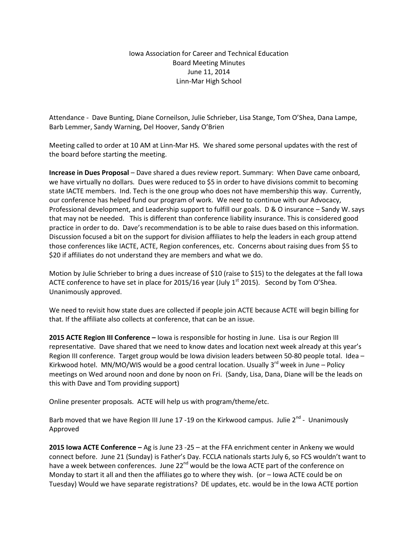## Iowa Association for Career and Technical Education Board Meeting Minutes June 11, 2014 Linn-Mar High School

Attendance - Dave Bunting, Diane Corneilson, Julie Schrieber, Lisa Stange, Tom O'Shea, Dana Lampe, Barb Lemmer, Sandy Warning, Del Hoover, Sandy O'Brien

Meeting called to order at 10 AM at Linn-Mar HS. We shared some personal updates with the rest of the board before starting the meeting.

**Increase in Dues Proposal** – Dave shared a dues review report. Summary: When Dave came onboard, we have virtually no dollars. Dues were reduced to \$5 in order to have divisions commit to becoming state IACTE members. Ind. Tech is the one group who does not have membership this way. Currently, our conference has helped fund our program of work. We need to continue with our Advocacy, Professional development, and Leadership support to fulfill our goals. D & O insurance – Sandy W. says that may not be needed. This is different than conference liability insurance. This is considered good practice in order to do. Dave's recommendation is to be able to raise dues based on this information. Discussion focused a bit on the support for division affiliates to help the leaders in each group attend those conferences like IACTE, ACTE, Region conferences, etc. Concerns about raising dues from \$5 to \$20 if affiliates do not understand they are members and what we do.

Motion by Julie Schrieber to bring a dues increase of \$10 (raise to \$15) to the delegates at the fall Iowa ACTE conference to have set in place for 2015/16 year (July  $1<sup>st</sup>$  2015). Second by Tom O'Shea. Unanimously approved.

We need to revisit how state dues are collected if people join ACTE because ACTE will begin billing for that. If the affiliate also collects at conference, that can be an issue.

**2015 ACTE Region III Conference –** Iowa is responsible for hosting in June. Lisa is our Region III representative. Dave shared that we need to know dates and location next week already at this year's Region III conference. Target group would be Iowa division leaders between 50-80 people total. Idea – Kirkwood hotel. MN/MO/WIS would be a good central location. Usually  $3<sup>rd</sup>$  week in June – Policy meetings on Wed around noon and done by noon on Fri. (Sandy, Lisa, Dana, Diane will be the leads on this with Dave and Tom providing support)

Online presenter proposals. ACTE will help us with program/theme/etc.

Barb moved that we have Region III June 17 -19 on the Kirkwood campus. Julie 2<sup>nd</sup> - Unanimously Approved

**2015 Iowa ACTE Conference –** Ag is June 23 -25 – at the FFA enrichment center in Ankeny we would connect before. June 21 (Sunday) is Father's Day. FCCLA nationals starts July 6, so FCS wouldn't want to have a week between conferences. June 22<sup>nd</sup> would be the Iowa ACTE part of the conference on Monday to start it all and then the affiliates go to where they wish. (or – Iowa ACTE could be on Tuesday) Would we have separate registrations? DE updates, etc. would be in the Iowa ACTE portion